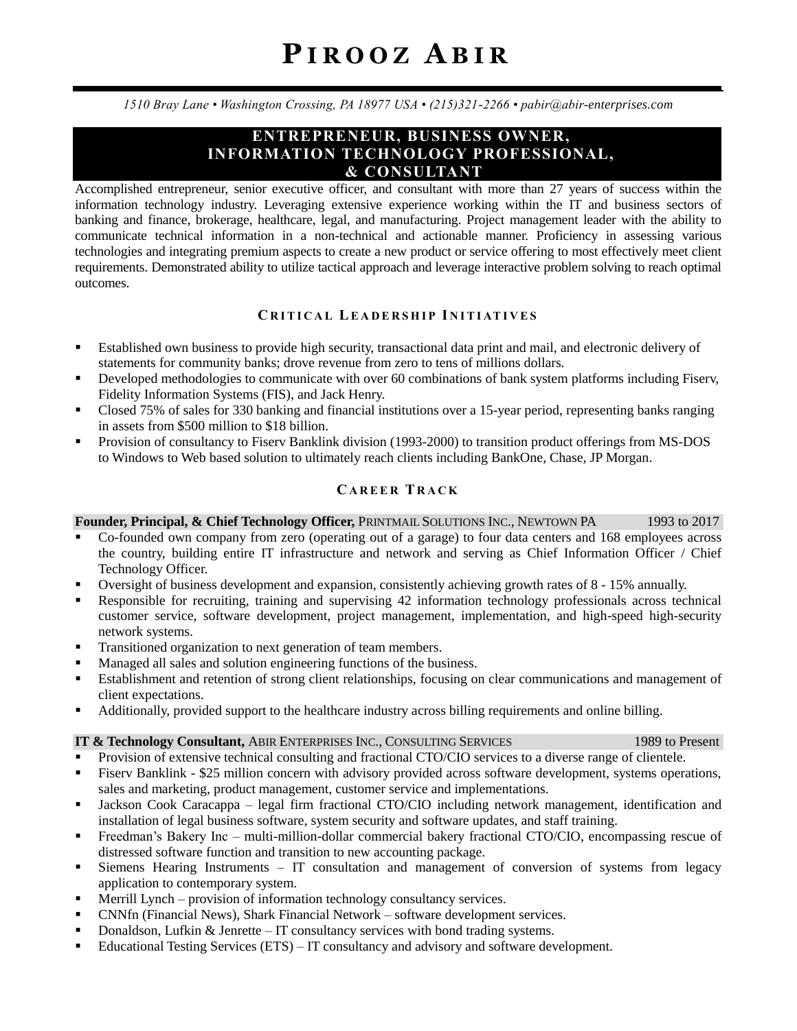*1510 Bray Lane • Washington Crossing, PA 18977 USA • (215)321-2266 • pabir@abir-enterprises.com*

# **ENTREPRENEUR, BUSINESS OWNER, INFORMATION TECHNOLOGY PROFESSIONAL, & CONSULTANT**

Accomplished entrepreneur, senior executive officer, and consultant with more than 27 years of success within the information technology industry. Leveraging extensive experience working within the IT and business sectors of banking and finance, brokerage, healthcare, legal, and manufacturing. Project management leader with the ability to communicate technical information in a non-technical and actionable manner. Proficiency in assessing various technologies and integrating premium aspects to create a new product or service offering to most effectively meet client requirements. Demonstrated ability to utilize tactical approach and leverage interactive problem solving to reach optimal outcomes.

# **CR I T I C A L LE A D E R S H I P I N I T I AT I V E S**

- Established own business to provide high security, transactional data print and mail, and electronic delivery of statements for community banks; drove revenue from zero to tens of millions dollars.
- **•** Developed methodologies to communicate with over 60 combinations of bank system platforms including Fiserv, Fidelity Information Systems (FIS), and Jack Henry.
- Closed 75% of sales for 330 banking and financial institutions over a 15-year period, representing banks ranging in assets from \$500 million to \$18 billion.
- Provision of consultancy to Fiserv Banklink division (1993-2000) to transition product offerings from MS-DOS to Windows to Web based solution to ultimately reach clients including BankOne, Chase, JP Morgan.

# **CA R E E R T R A C K**

### **Founder, Principal, & Chief Technology Officer,** PRINTMAIL SOLUTIONS INC., NEWTOWN PA 1993 to 2017

- Co-founded own company from zero (operating out of a garage) to four data centers and 168 employees across the country, building entire IT infrastructure and network and serving as Chief Information Officer / Chief Technology Officer.
- Oversight of business development and expansion, consistently achieving growth rates of 8 15% annually.
- Responsible for recruiting, training and supervising 42 information technology professionals across technical customer service, software development, project management, implementation, and high-speed high-security network systems.
- **Transitioned organization to next generation of team members.**
- Managed all sales and solution engineering functions of the business.
- Establishment and retention of strong client relationships, focusing on clear communications and management of client expectations.
- Additionally, provided support to the healthcare industry across billing requirements and online billing.

#### **IT & Technology Consultant, ABIR ENTERPRISES INC., CONSULTING SERVICES** 1989 to Present

- Provision of extensive technical consulting and fractional CTO/CIO services to a diverse range of clientele.
- Fiserv Banklink \$25 million concern with advisory provided across software development, systems operations, sales and marketing, product management, customer service and implementations.
- Jackson Cook Caracappa legal firm fractional CTO/CIO including network management, identification and installation of legal business software, system security and software updates, and staff training.
- Freedman's Bakery Inc multi-million-dollar commercial bakery fractional CTO/CIO, encompassing rescue of distressed software function and transition to new accounting package.
- Siemens Hearing Instruments IT consultation and management of conversion of systems from legacy application to contemporary system.
- Merrill Lynch provision of information technology consultancy services.
- CNNfn (Financial News), Shark Financial Network software development services.
- Donaldson, Lufkin & Jenrette IT consultancy services with bond trading systems.
- Educational Testing Services (ETS) IT consultancy and advisory and software development.